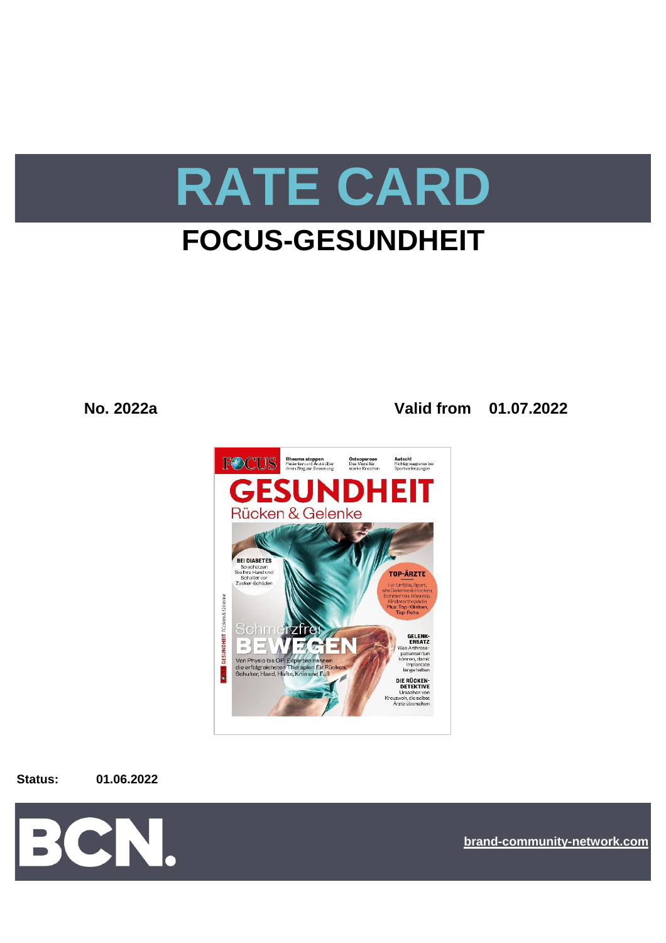

# **FOCUS-GESUNDHEIT**

**No. 2022a Valid from 01.07.2022**



**Status: 01.06.2022**



**[bra](https://bcn.burda.com/)nd-community-network.com**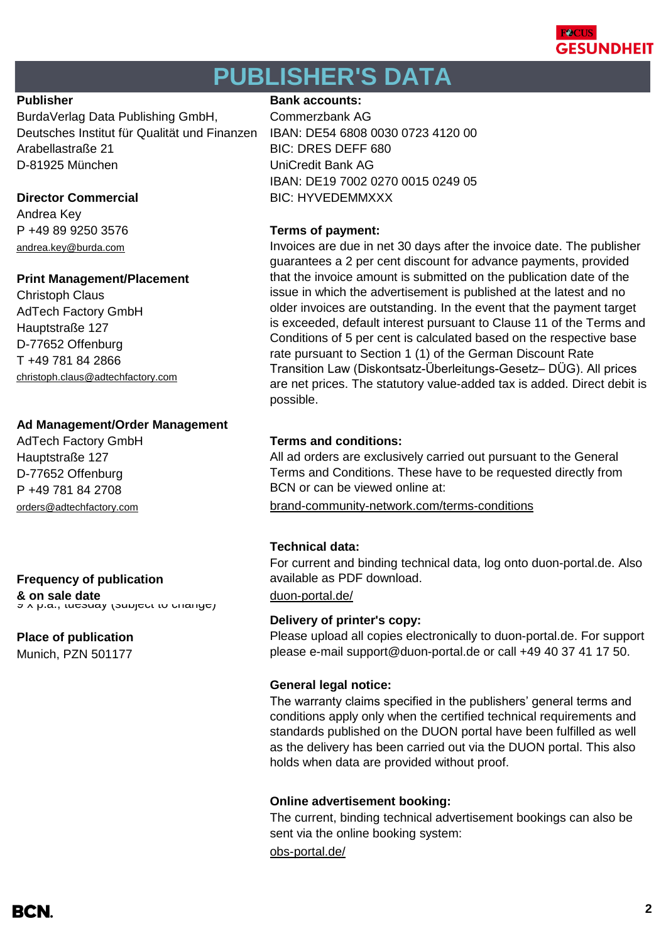

# **PUBLISHER'S DATA**

BurdaVerlag Data Publishing GmbH, Commerzbank AG Deutsches Institut für Qualität und Finanzen IBAN: DE54 6808 0030 0723 4120 00 Arabellastraße 21 BIC: DRES DEFF 680 D-81925 München UniCredit Bank AG

Andrea Key P +49 89 9250 3576 **Terms of payment:** andrea.key@burda.com

## **Print Management/Placement**

Christoph Claus AdTech Factory GmbH Hauptstraße 127 D-77652 Offenburg T +49 781 84 2866 [christoph.claus@adtechfactory.com](mailto:christoph.claus@adtechfactory.com)

# **Ad Management/Order Management**

Hauptstraße 127 D-77652 Offenburg P +49 781 84 2708

# **Frequency of publication**

**& on sale date** description of the [duon-portal.de/](https://duon-portal.de/)<br>ອັ∧ p.a., tuesuay (subject to change*)* 

# **Place of publication**

Munich, PZN 501177

## **Publisher Bank accounts: Bank accounts:**

IBAN: DE19 7002 0270 0015 0249 05 **Director Commercial BIC: HYVEDEMMXXX** 

Invoices are due in net 30 days after the invoice date. The publisher guarantees a 2 per cent discount for advance payments, provided that the invoice amount is submitted on the publication date of the issue in which the advertisement is published at the latest and no older invoices are outstanding. In the event that the payment target is exceeded, default interest pursuant to Clause 11 of the Terms and Conditions of 5 per cent is calculated based on the respective base rate pursuant to Section 1 (1) of the German Discount Rate Transition Law (Diskontsatz-Überleitungs-Gesetz– DÜG). All prices are net prices. The statutory value-added tax is added. Direct debit is possible.

# AdTech Factory GmbH **Terms and conditions:**

All ad orders are exclusively carried out pursuant to the General Terms and Conditions. These have to be requested directly from BCN or can be viewed online at:

[orders@adtechfactory.com](https://duon-portal.de/) [brand-community-network.com/terms-conditions](https://bcn.burda.com/terms-conditions)

# **Technical data:**

For current and binding technical data, log onto duon-portal.de. Also available as PDF download.

## **Delivery of printer's copy:**

Please upload all copies electronically to duon-portal.de. For support please e-mail support@duon-portal.de or call +49 40 37 41 17 50.

# **General legal notice:**

The warranty claims specified in the publishers' general terms and conditions apply only when the certified technical requirements and standards published on the DUON portal have been fulfilled as well as the delivery has been carried out via the DUON portal. This also holds when data are provided without proof.

## **Online advertisement booking:**

The current, binding technical advertisement bookings can also be sent via the online booking system:

[obs-portal.de/](https://www.obs-portal.de/)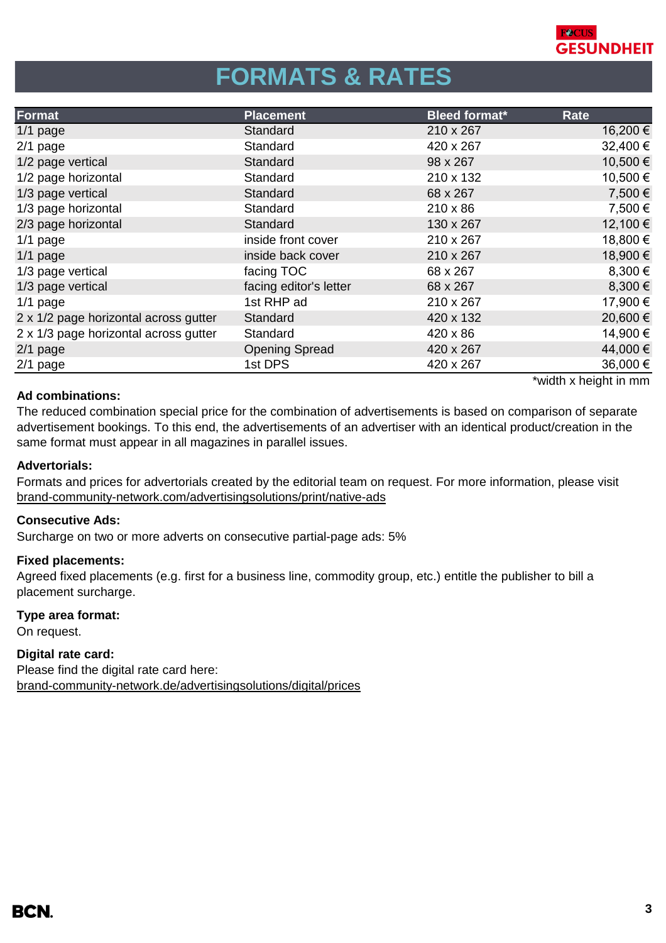

# **FORMATS & RATES**

| <b>Format</b>                         | <b>Placement</b>       | <b>Bleed format*</b> | Rate                                         |
|---------------------------------------|------------------------|----------------------|----------------------------------------------|
| $1/1$ page                            | Standard               | 210 x 267            | 16,200 €                                     |
| $2/1$ page                            | Standard               | 420 x 267            | 32,400 €                                     |
| 1/2 page vertical                     | Standard               | 98 x 267             | 10,500€                                      |
| 1/2 page horizontal                   | Standard               | 210 x 132            | 10,500€                                      |
| 1/3 page vertical                     | Standard               | 68 x 267             | 7,500 €                                      |
| 1/3 page horizontal                   | Standard               | $210 \times 86$      | 7,500 €                                      |
| 2/3 page horizontal                   | Standard               | 130 x 267            | 12,100 €                                     |
| $1/1$ page                            | inside front cover     | 210 x 267            | 18,800 €                                     |
| $1/1$ page                            | inside back cover      | 210 x 267            | 18,900€                                      |
| 1/3 page vertical                     | facing TOC             | 68 x 267             | 8,300 €                                      |
| 1/3 page vertical                     | facing editor's letter | 68 x 267             | 8,300 €                                      |
| $1/1$ page                            | 1st RHP ad             | 210 x 267            | 17,900 €                                     |
| 2 x 1/2 page horizontal across gutter | Standard               | 420 x 132            | 20,600€                                      |
| 2 x 1/3 page horizontal across gutter | Standard               | 420 x 86             | 14,900 €                                     |
| $2/1$ page                            | <b>Opening Spread</b>  | 420 x 267            | 44,000 €                                     |
| 2/1 page                              | 1st DPS                | 420 x 267            | 36,000 €                                     |
|                                       |                        |                      | Model of the company of the first company of |

### **Ad combinations:**

width x height in mm`

The reduced combination special price for the combination of advertisements is based on comparison of separate advertisement bookings. To this end, the advertisements of an advertiser with an identical product/creation in the same format must appear in all magazines in parallel issues.

### **Advertorials:**

[brand-community-network.com/advertisin](https://bcn.burda.com/advertisingsolutions/print/native-ads)gsolutions/print/native-ads Formats and prices for advertorials created by the editorial team on request. For more information, please visit

### **Consecutive Ads:**

Surcharge on two or more adverts on consecutive partial-page ads: 5%

## **Fixed placements:**

Agreed fixed placements (e.g. first for a business line, commodity group, etc.) entitle the publisher to bill a placement surcharge.

### **Type area format:**

On request.

# **Digital rate card:**

Please find the digital rate card here: [brand-community-network.de/advertisingsolutions/digital/prices](https://bcn.burda.com/advertisingsolutions/digital/prices)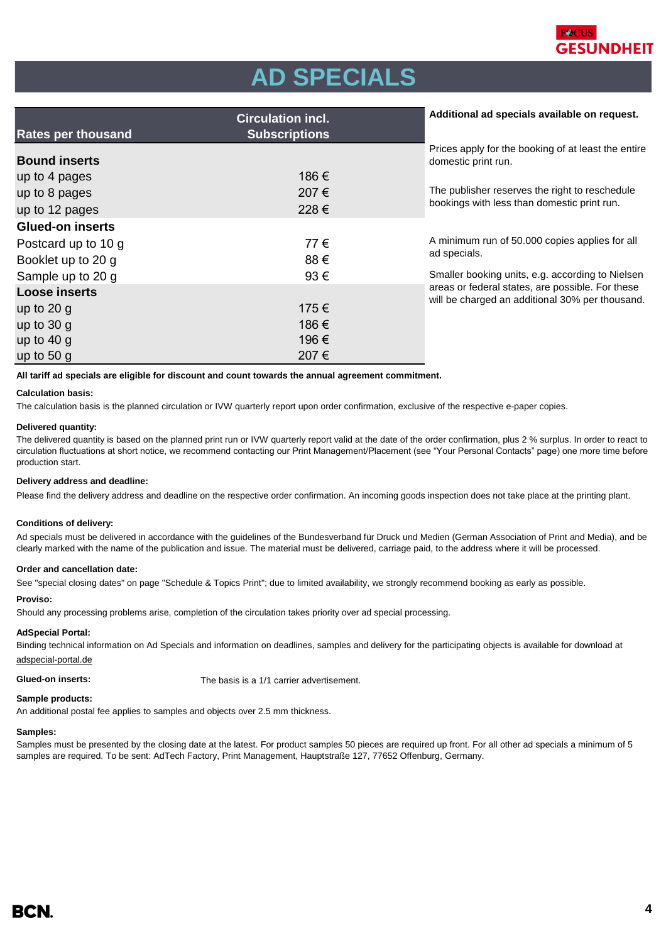

# **AD SPECIALS**

|                           | <b>Circulation incl.</b> | Additional ad specials available on request.                                                        |
|---------------------------|--------------------------|-----------------------------------------------------------------------------------------------------|
| <b>Rates per thousand</b> | <b>Subscriptions</b>     |                                                                                                     |
| <b>Bound inserts</b>      |                          | Prices apply for the booking of at least the entire<br>domestic print run.                          |
| up to 4 pages             | 186€                     |                                                                                                     |
| up to 8 pages             | 207€                     | The publisher reserves the right to reschedule                                                      |
| up to 12 pages            | 228€                     | bookings with less than domestic print run.                                                         |
| <b>Glued-on inserts</b>   |                          |                                                                                                     |
| Postcard up to 10 g       | 77€                      | A minimum run of 50.000 copies applies for all                                                      |
| Booklet up to 20 g        | 88€                      | ad specials.                                                                                        |
| Sample up to 20 g         | 93€                      | Smaller booking units, e.g. according to Nielsen                                                    |
| <b>Loose inserts</b>      |                          | areas or federal states, are possible. For these<br>will be charged an additional 30% per thousand. |
| up to $20 g$              | 175€                     |                                                                                                     |
| up to $30 g$              | 186€                     |                                                                                                     |
| up to $40 g$              | 196€                     |                                                                                                     |
| up to $50 g$              | 207€                     |                                                                                                     |

**All tariff ad specials are eligible for discount and count towards the annual agreement commitment.**

#### **Calculation basis:**

The calculation basis is the planned circulation or IVW quarterly report upon order confirmation, exclusive of the respective e-paper copies.

#### **Delivered quantity:**

The delivered quantity is based on the planned print run or IVW quarterly report valid at the date of the order confirmation, plus 2 % surplus. In order to react to circulation fluctuations at short notice, we recommend contacting our Print Management/Placement (see "Your Personal Contacts" page) one more time before production start.

#### **Delivery address and deadline:**

Please find the delivery address and deadline on the respective order confirmation. An incoming goods inspection does not take place at the printing plant.

#### **Conditions of delivery:**

Ad specials must be delivered in accordance with the guidelines of the Bundesverband für Druck und Medien (German Association of Print and Media), and be clearly marked with the name of the publication and issue. The material must be delivered, carriage paid, to the address where it will be processed.

#### **Order and cancellation date:**

See "special closing dates" on page "Schedule & Topics Print"; due to limited availability, we strongly recommend booking as early as possible.

#### **Proviso:**

Should any processing problems arise, completion of the circulation takes priority over ad special processing.

#### **AdSpecial Portal:**

Binding technical information on Ad Specials and information on deadlines, samples and delivery for the participating objects is available for download at

### adspecial-portal.de

**Glued-on inserts:** The basis is a 1/1 carrier advertisement.

### **Sample products:**

An additional postal fee applies to samples and objects over 2.5 mm thickness.

#### **Samples:**

Samples must be presented by the closing date at the latest. For product samples 50 pieces are required up front. For all other ad specials a minimum of 5 samples are required. To be sent: AdTech Factory, Print Management, Hauptstraße 127, 77652 Offenburg, Germany.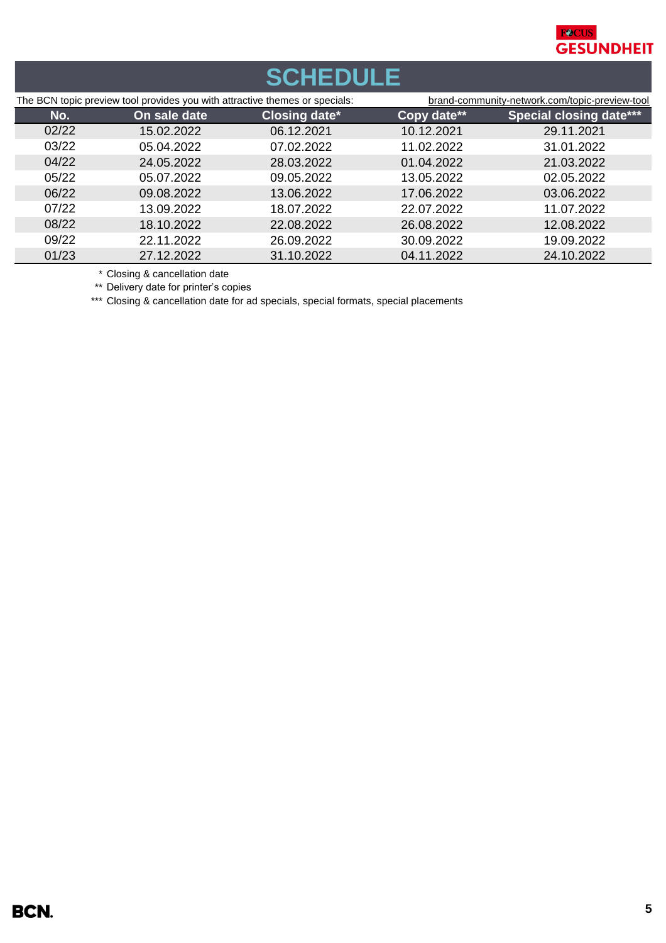

# **SCHEDULE**

| The BCN topic preview tool provides you with attractive themes or specials: |              |                      | brand-community-network.com/topic-preview-tool |                                |
|-----------------------------------------------------------------------------|--------------|----------------------|------------------------------------------------|--------------------------------|
| No.                                                                         | On sale date | <b>Closing date*</b> | Copy date**                                    | <b>Special closing date***</b> |
| 02/22                                                                       | 15.02.2022   | 06.12.2021           | 10.12.2021                                     | 29.11.2021                     |
| 03/22                                                                       | 05.04.2022   | 07.02.2022           | 11.02.2022                                     | 31.01.2022                     |
| 04/22                                                                       | 24.05.2022   | 28.03.2022           | 01.04.2022                                     | 21.03.2022                     |
| 05/22                                                                       | 05.07.2022   | 09.05.2022           | 13.05.2022                                     | 02.05.2022                     |
| 06/22                                                                       | 09.08.2022   | 13.06.2022           | 17.06.2022                                     | 03.06.2022                     |
| 07/22                                                                       | 13.09.2022   | 18.07.2022           | 22.07.2022                                     | 11.07.2022                     |
| 08/22                                                                       | 18.10.2022   | 22.08.2022           | 26.08.2022                                     | 12.08.2022                     |
| 09/22                                                                       | 22.11.2022   | 26.09.2022           | 30.09.2022                                     | 19.09.2022                     |
| 01/23                                                                       | 27.12.2022   | 31.10.2022           | 04.11.2022                                     | 24.10.2022                     |

\* Closing & cancellation date

\*\* Delivery date for printer's copies

\*\*\* Closing & cancellation date for ad specials, special formats, special placements